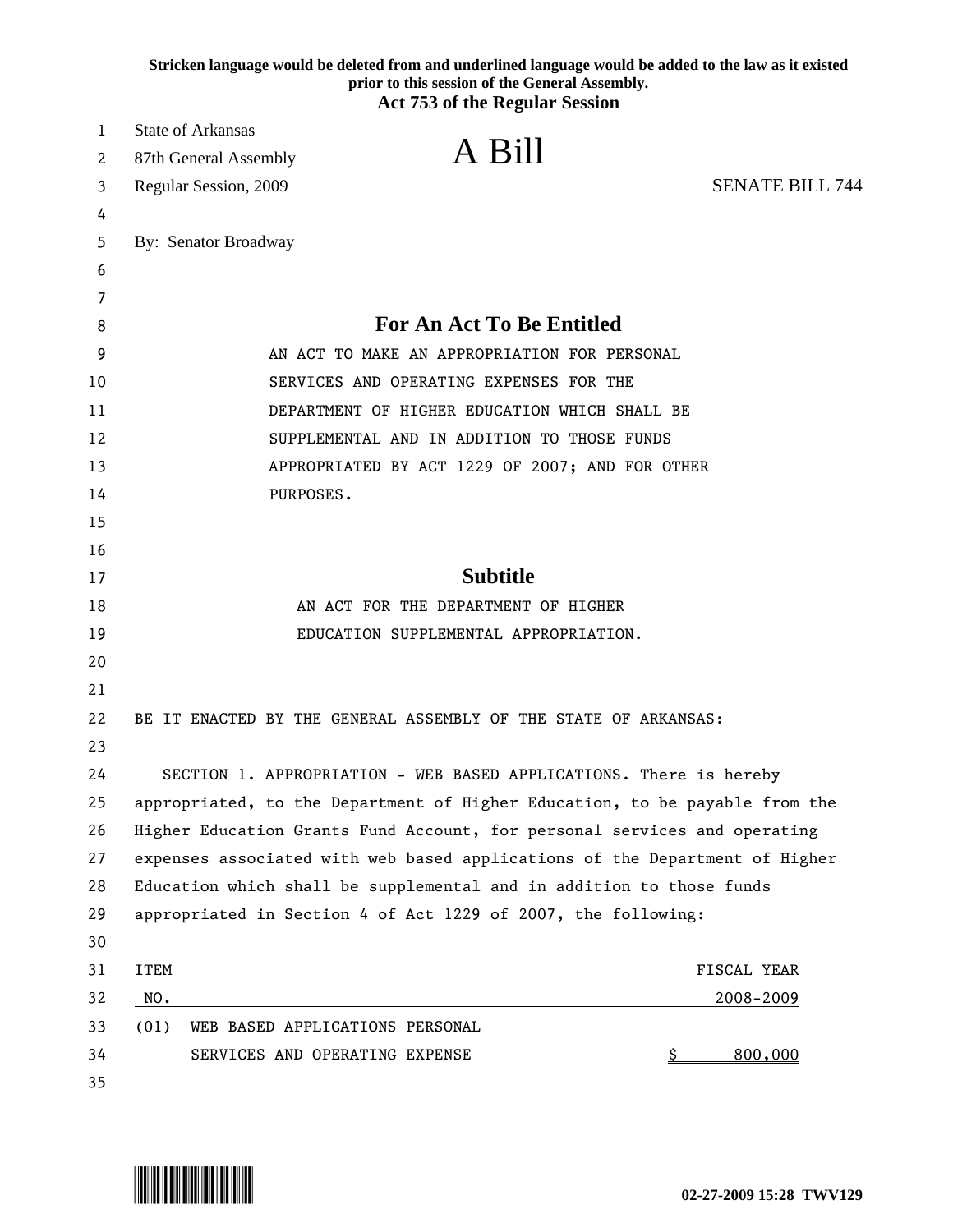|    | Stricken language would be deleted from and underlined language would be added to the law as it existed<br>prior to this session of the General Assembly.<br><b>Act 753 of the Regular Session</b> |
|----|----------------------------------------------------------------------------------------------------------------------------------------------------------------------------------------------------|
| 1  | <b>State of Arkansas</b>                                                                                                                                                                           |
| 2  | A Bill<br>87th General Assembly                                                                                                                                                                    |
| 3  | <b>SENATE BILL 744</b><br>Regular Session, 2009                                                                                                                                                    |
| 4  |                                                                                                                                                                                                    |
| 5  | By: Senator Broadway                                                                                                                                                                               |
| 6  |                                                                                                                                                                                                    |
| 7  |                                                                                                                                                                                                    |
| 8  | <b>For An Act To Be Entitled</b>                                                                                                                                                                   |
| 9  | AN ACT TO MAKE AN APPROPRIATION FOR PERSONAL                                                                                                                                                       |
| 10 | SERVICES AND OPERATING EXPENSES FOR THE                                                                                                                                                            |
| 11 | DEPARTMENT OF HIGHER EDUCATION WHICH SHALL BE                                                                                                                                                      |
| 12 | SUPPLEMENTAL AND IN ADDITION TO THOSE FUNDS                                                                                                                                                        |
| 13 | APPROPRIATED BY ACT 1229 OF 2007; AND FOR OTHER                                                                                                                                                    |
| 14 | PURPOSES.                                                                                                                                                                                          |
| 15 |                                                                                                                                                                                                    |
| 16 |                                                                                                                                                                                                    |
| 17 | <b>Subtitle</b>                                                                                                                                                                                    |
| 18 | AN ACT FOR THE DEPARTMENT OF HIGHER                                                                                                                                                                |
| 19 | EDUCATION SUPPLEMENTAL APPROPRIATION.                                                                                                                                                              |
| 20 |                                                                                                                                                                                                    |
| 21 |                                                                                                                                                                                                    |
| 22 | BE IT ENACTED BY THE GENERAL ASSEMBLY OF THE STATE OF ARKANSAS:                                                                                                                                    |
| 23 |                                                                                                                                                                                                    |
| 24 | SECTION 1. APPROPRIATION - WEB BASED APPLICATIONS. There is hereby                                                                                                                                 |
| 25 | appropriated, to the Department of Higher Education, to be payable from the                                                                                                                        |
| 26 | Higher Education Grants Fund Account, for personal services and operating                                                                                                                          |
| 27 | expenses associated with web based applications of the Department of Higher                                                                                                                        |
| 28 | Education which shall be supplemental and in addition to those funds                                                                                                                               |
| 29 | appropriated in Section 4 of Act 1229 of 2007, the following:                                                                                                                                      |
| 30 |                                                                                                                                                                                                    |
| 31 | <b>ITEM</b><br>FISCAL YEAR                                                                                                                                                                         |
| 32 | NO.<br>2008-2009<br><u> 1980 - Johann Barn, mars ann an t-Amhain Aonaich an t-Aonaich an t-Aonaich ann an t-Aonaich ann an t-Aonaich</u>                                                           |
| 33 | WEB BASED APPLICATIONS PERSONAL<br>(01)                                                                                                                                                            |
| 34 | 800,000<br>SERVICES AND OPERATING EXPENSE<br><u>\$</u>                                                                                                                                             |
| 35 |                                                                                                                                                                                                    |

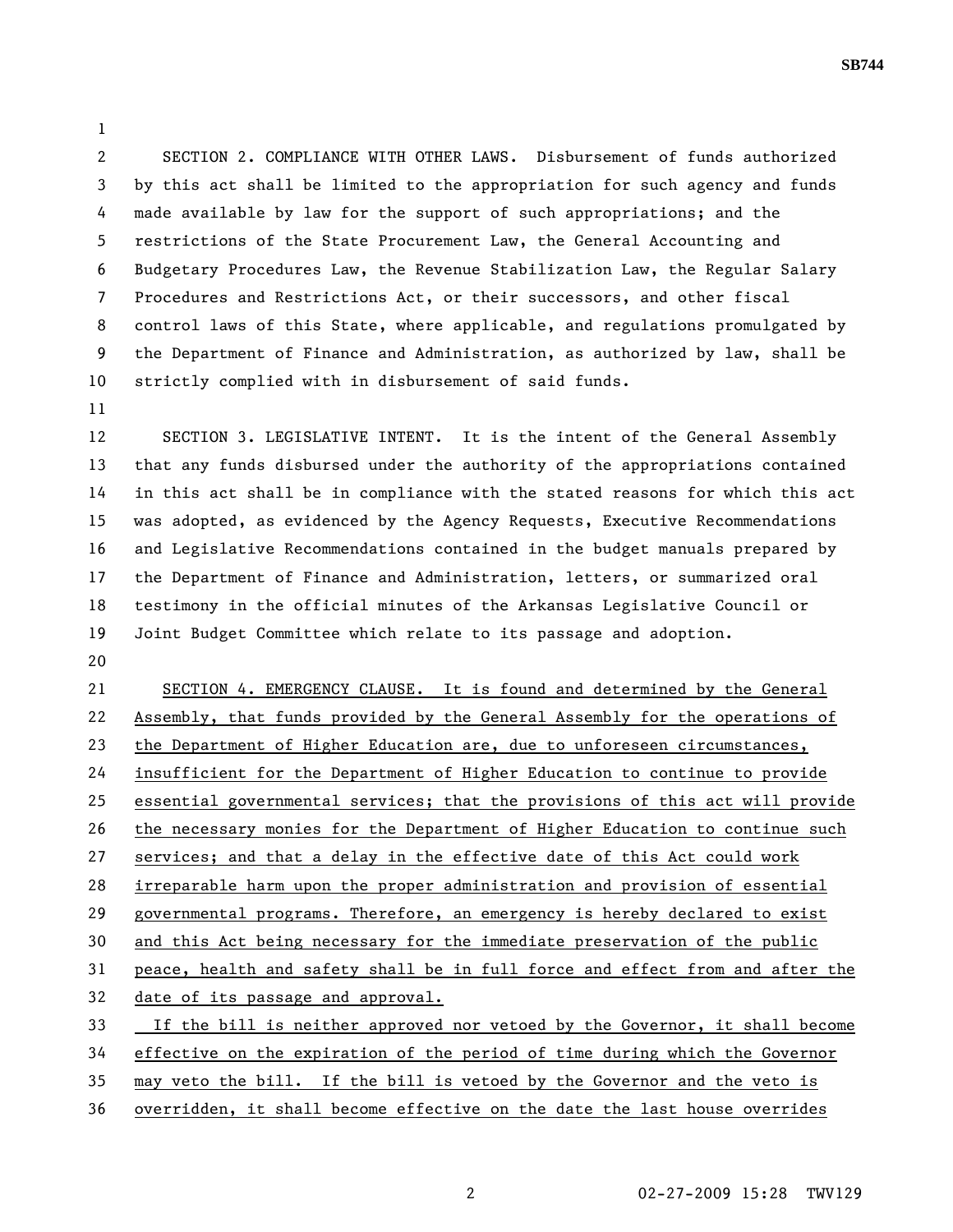2 SECTION 2. COMPLIANCE WITH OTHER LAWS. Disbursement of funds authorized 3 by this act shall be limited to the appropriation for such agency and funds 4 made available by law for the support of such appropriations; and the 5 restrictions of the State Procurement Law, the General Accounting and 6 Budgetary Procedures Law, the Revenue Stabilization Law, the Regular Salary 7 Procedures and Restrictions Act, or their successors, and other fiscal 8 control laws of this State, where applicable, and regulations promulgated by 9 the Department of Finance and Administration, as authorized by law, shall be 10 strictly complied with in disbursement of said funds.

11

1

12 SECTION 3. LEGISLATIVE INTENT. It is the intent of the General Assembly 13 that any funds disbursed under the authority of the appropriations contained 14 in this act shall be in compliance with the stated reasons for which this act 15 was adopted, as evidenced by the Agency Requests, Executive Recommendations 16 and Legislative Recommendations contained in the budget manuals prepared by 17 the Department of Finance and Administration, letters, or summarized oral 18 testimony in the official minutes of the Arkansas Legislative Council or 19 Joint Budget Committee which relate to its passage and adoption.

20

21 SECTION 4. EMERGENCY CLAUSE. It is found and determined by the General 22 Assembly, that funds provided by the General Assembly for the operations of 23 the Department of Higher Education are, due to unforeseen circumstances, 24 insufficient for the Department of Higher Education to continue to provide 25 essential governmental services; that the provisions of this act will provide 26 the necessary monies for the Department of Higher Education to continue such 27 services; and that a delay in the effective date of this Act could work 28 irreparable harm upon the proper administration and provision of essential 29 governmental programs. Therefore, an emergency is hereby declared to exist 30 and this Act being necessary for the immediate preservation of the public 31 peace, health and safety shall be in full force and effect from and after the 32 date of its passage and approval. 33 If the bill is neither approved nor vetoed by the Governor, it shall become 34 effective on the expiration of the period of time during which the Governor 35 may veto the bill. If the bill is vetoed by the Governor and the veto is

**SB744**